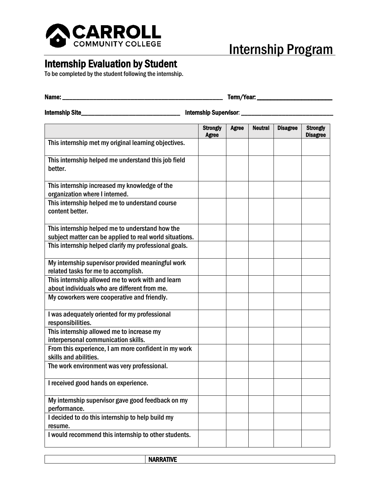

## Internship Program

## Internship Evaluation by Student<br>To be completed by the student following the internship.

| Name: __                                                                                                   |                                 |              |                |                 |                                    |
|------------------------------------------------------------------------------------------------------------|---------------------------------|--------------|----------------|-----------------|------------------------------------|
| <b>Internship Site_</b><br>Internship Supervisor: ___                                                      |                                 |              |                |                 |                                    |
|                                                                                                            | <b>Strongly</b><br><b>Agree</b> | <b>Agree</b> | <b>Neutral</b> | <b>Disagree</b> | <b>Strongly</b><br><b>Disagree</b> |
| This internship met my original learning objectives.                                                       |                                 |              |                |                 |                                    |
| This internship helped me understand this job field<br>better.                                             |                                 |              |                |                 |                                    |
| This internship increased my knowledge of the<br>organization where I interned.                            |                                 |              |                |                 |                                    |
| This internship helped me to understand course<br>content better.                                          |                                 |              |                |                 |                                    |
| This internship helped me to understand how the<br>subject matter can be applied to real world situations. |                                 |              |                |                 |                                    |
| This internship helped clarify my professional goals.                                                      |                                 |              |                |                 |                                    |
| My internship supervisor provided meaningful work<br>related tasks for me to accomplish.                   |                                 |              |                |                 |                                    |
| This internship allowed me to work with and learn<br>about individuals who are different from me.          |                                 |              |                |                 |                                    |
| My coworkers were cooperative and friendly.                                                                |                                 |              |                |                 |                                    |
| I was adequately oriented for my professional<br>responsibilities.                                         |                                 |              |                |                 |                                    |
| This internship allowed me to increase my<br>interpersonal communication skills.                           |                                 |              |                |                 |                                    |
| From this experience, I am more confident in my work<br>skills and abilities.                              |                                 |              |                |                 |                                    |
| The work environment was very professional.                                                                |                                 |              |                |                 |                                    |
| I received good hands on experience.                                                                       |                                 |              |                |                 |                                    |
| My internship supervisor gave good feedback on my<br>performance.                                          |                                 |              |                |                 |                                    |
| I decided to do this internship to help build my<br>resume.                                                |                                 |              |                |                 |                                    |
| I would recommend this internship to other students.                                                       |                                 |              |                |                 |                                    |

NARRATIVE